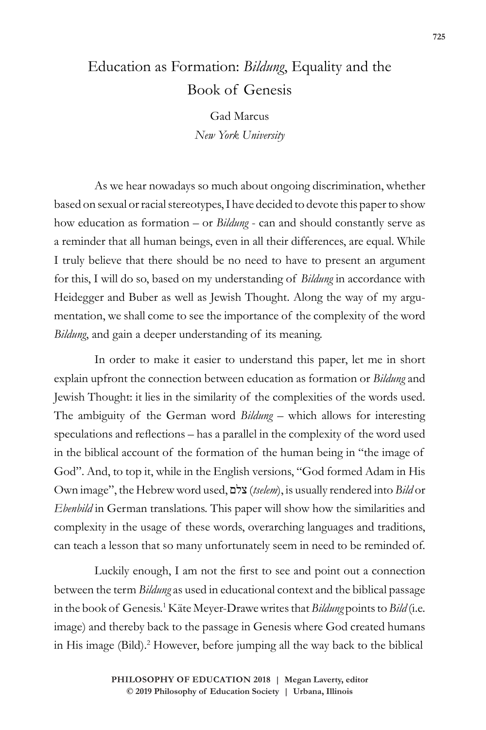## Education as Formation: *Bildung*, Equality and the Book of Genesis

Gad Marcus *New York University*

As we hear nowadays so much about ongoing discrimination, whether based on sexual or racial stereotypes, I have decided to devote this paper to show how education as formation – or *Bildung* - can and should constantly serve as a reminder that all human beings, even in all their differences, are equal. While I truly believe that there should be no need to have to present an argument for this, I will do so, based on my understanding of *Bildung* in accordance with Heidegger and Buber as well as Jewish Thought. Along the way of my argumentation, we shall come to see the importance of the complexity of the word *Bildung*, and gain a deeper understanding of its meaning.

In order to make it easier to understand this paper, let me in short explain upfront the connection between education as formation or *Bildung* and Jewish Thought: it lies in the similarity of the complexities of the words used. The ambiguity of the German word *Bildung* – which allows for interesting speculations and reflections – has a parallel in the complexity of the word used in the biblical account of the formation of the human being in "the image of God". And, to top it, while in the English versions, "God formed Adam in His Own image", the Hebrew word used, צלם) *tselem*), is usually rendered into *Bild* or *Ebenbild* in German translations. This paper will show how the similarities and complexity in the usage of these words, overarching languages and traditions, can teach a lesson that so many unfortunately seem in need to be reminded of.

Luckily enough, I am not the first to see and point out a connection between the term *Bildung* as used in educational context and the biblical passage in the book of Genesis.1 Käte Meyer-Drawe writes that *Bildung* points to *Bild* (i.e. image) and thereby back to the passage in Genesis where God created humans in His image (Bild).<sup>2</sup> However, before jumping all the way back to the biblical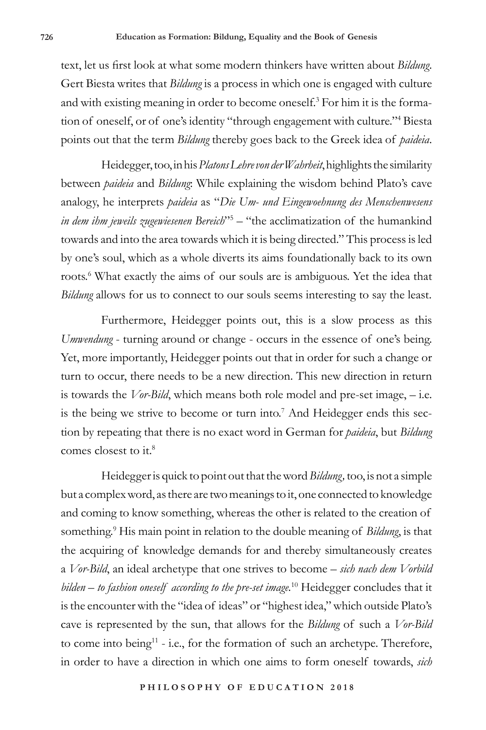text, let us first look at what some modern thinkers have written about *Bildung*. Gert Biesta writes that *Bildung* is a process in which one is engaged with culture and with existing meaning in order to become oneself.<sup>3</sup> For him it is the formation of oneself, or of one's identity "through engagement with culture."4 Biesta points out that the term *Bildung* thereby goes back to the Greek idea of *paideia*.

Heidegger, too, in his *Platons Lehre von der Wahrheit*, highlights the similarity between *paideia* and *Bildung*: While explaining the wisdom behind Plato's cave analogy, he interprets *paideia* as "*Die Um- und Eingewoehnung des Menschenwesens in dem ihm jeweils zugewiesenen Bereich*"5 – "the acclimatization of the humankind towards and into the area towards which it is being directed." This process is led by one's soul, which as a whole diverts its aims foundationally back to its own roots.<sup>6</sup> What exactly the aims of our souls are is ambiguous. Yet the idea that *Bildung* allows for us to connect to our souls seems interesting to say the least.

Furthermore, Heidegger points out, this is a slow process as this *Umwendung* - turning around or change - occurs in the essence of one's being. Yet, more importantly, Heidegger points out that in order for such a change or turn to occur, there needs to be a new direction. This new direction in return is towards the *Vor-Bild*, which means both role model and pre-set image, – i.e. is the being we strive to become or turn into.<sup>7</sup> And Heidegger ends this section by repeating that there is no exact word in German for *paideia*, but *Bildung* comes closest to it.8

Heidegger is quick to point out that the word *Bildung,* too, is not a simple but a complex word, as there are two meanings to it, one connected to knowledge and coming to know something, whereas the other is related to the creation of something.<sup>9</sup> His main point in relation to the double meaning of *Bildung*, is that the acquiring of knowledge demands for and thereby simultaneously creates a *Vor-Bild*, an ideal archetype that one strives to become – *sich nach dem Vorbild bilden – to fashion oneself according to the pre-set image.*10 Heidegger concludes that it is the encounter with the "idea of ideas" or "highest idea," which outside Plato's cave is represented by the sun, that allows for the *Bildung* of such a *Vor-Bild* to come into being<sup>11</sup> - i.e., for the formation of such an archetype. Therefore, in order to have a direction in which one aims to form oneself towards, *sich*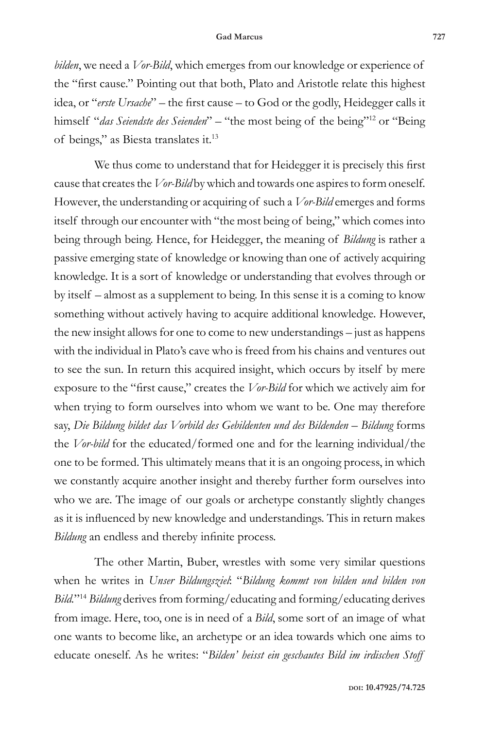*bilden*, we need a *Vor-Bild*, which emerges from our knowledge or experience of the "first cause." Pointing out that both, Plato and Aristotle relate this highest idea, or "*erste Ursache*" – the first cause – to God or the godly, Heidegger calls it himself "*das Seiendste des Seienden*" – "the most being of the being"<sup>12</sup> or "Being of beings," as Biesta translates it.13

We thus come to understand that for Heidegger it is precisely this first cause that creates the *Vor-Bild* by which and towards one aspires to form oneself. However, the understanding or acquiring of such a *Vor-Bild* emerges and forms itself through our encounter with "the most being of being," which comes into being through being. Hence, for Heidegger, the meaning of *Bildung* is rather a passive emerging state of knowledge or knowing than one of actively acquiring knowledge. It is a sort of knowledge or understanding that evolves through or by itself – almost as a supplement to being. In this sense it is a coming to know something without actively having to acquire additional knowledge. However, the new insight allows for one to come to new understandings – just as happens with the individual in Plato's cave who is freed from his chains and ventures out to see the sun. In return this acquired insight, which occurs by itself by mere exposure to the "first cause," creates the *Vor-Bild* for which we actively aim for when trying to form ourselves into whom we want to be. One may therefore say, *Die Bildung bildet das Vorbild des Gebildenten und des Bildenden* – Bildung forms the *Vor-bild* for the educated/formed one and for the learning individual/the one to be formed. This ultimately means that it is an ongoing process, in which we constantly acquire another insight and thereby further form ourselves into who we are. The image of our goals or archetype constantly slightly changes as it is influenced by new knowledge and understandings. This in return makes *Bildung* an endless and thereby infinite process.

The other Martin, Buber, wrestles with some very similar questions when he writes in *Unser Bildungsziel*: "*Bildung kommt von bilden und bilden von Bild.*"14 *Bildung* derives from forming/educating and forming/educating derives from image. Here, too, one is in need of a *Bild*, some sort of an image of what one wants to become like, an archetype or an idea towards which one aims to educate oneself. As he writes: "*Bilden' heisst ein geschautes Bild im irdischen Stoff*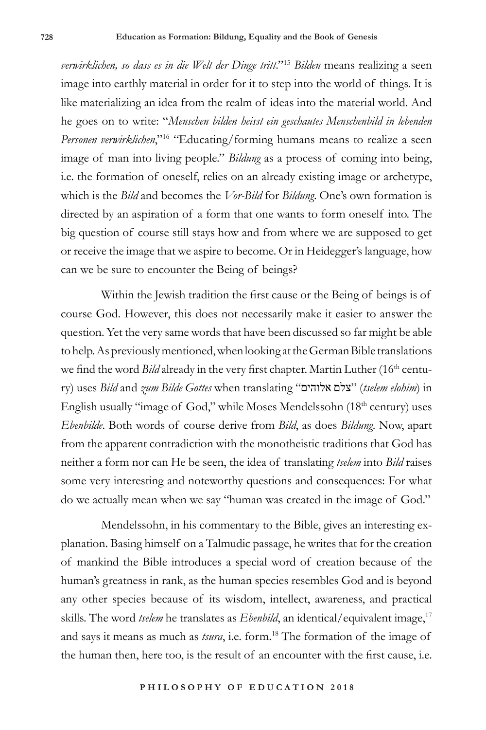*verwirklichen, so dass es in die Welt der Dinge tritt*."15 *Bilden* means realizing a seen image into earthly material in order for it to step into the world of things. It is like materializing an idea from the realm of ideas into the material world. And he goes on to write: "*Menschen bilden heisst ein geschautes Menschenbild in lebenden Personen verwirklichen*,"16 "Educating/forming humans means to realize a seen image of man into living people." *Bildung* as a process of coming into being, i.e. the formation of oneself, relies on an already existing image or archetype, which is the *Bild* and becomes the *Vor-Bild* for *Bildung*. One's own formation is directed by an aspiration of a form that one wants to form oneself into. The big question of course still stays how and from where we are supposed to get or receive the image that we aspire to become. Or in Heidegger's language, how can we be sure to encounter the Being of beings?

Within the Jewish tradition the first cause or the Being of beings is of course God. However, this does not necessarily make it easier to answer the question. Yet the very same words that have been discussed so far might be able to help. As previously mentioned, when looking at the German Bible translations we find the word *Bild* already in the very first chapter. Martin Luther (16<sup>th</sup> century) uses *Bild* and *zum Bilde Gottes* when translating "אלוהים צלם) "*tselem elohim*) in English usually "image of God," while Moses Mendelssohn (18<sup>th</sup> century) uses *Ebenbilde*. Both words of course derive from *Bild*, as does *Bildung*. Now, apart from the apparent contradiction with the monotheistic traditions that God has neither a form nor can He be seen, the idea of translating *tselem* into *Bild* raises some very interesting and noteworthy questions and consequences: For what do we actually mean when we say "human was created in the image of God."

Mendelssohn, in his commentary to the Bible, gives an interesting explanation. Basing himself on a Talmudic passage, he writes that for the creation of mankind the Bible introduces a special word of creation because of the human's greatness in rank, as the human species resembles God and is beyond any other species because of its wisdom, intellect, awareness, and practical skills. The word *tselem* he translates as *Ebenbild*, an identical/equivalent image,<sup>17</sup> and says it means as much as *tsura*, i.e. form.18 The formation of the image of the human then, here too, is the result of an encounter with the first cause, i.e.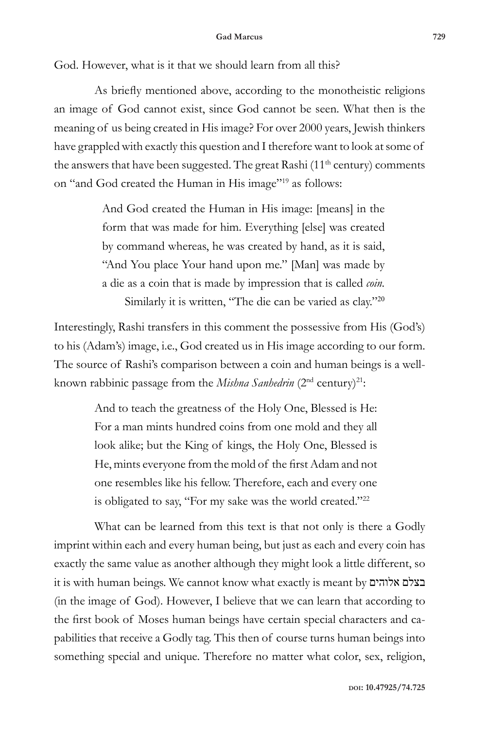God. However, what is it that we should learn from all this?

As briefly mentioned above, according to the monotheistic religions an image of God cannot exist, since God cannot be seen. What then is the meaning of us being created in His image? For over 2000 years, Jewish thinkers have grappled with exactly this question and I therefore want to look at some of the answers that have been suggested. The great Rashi  $(11<sup>th</sup>$  century) comments on "and God created the Human in His image"19 as follows:

> And God created the Human in His image: [means] in the form that was made for him. Everything [else] was created by command whereas, he was created by hand, as it is said, "And You place Your hand upon me." [Man] was made by a die as a coin that is made by impression that is called *coin.*  Similarly it is written, "The die can be varied as clay."<sup>20</sup>

Interestingly, Rashi transfers in this comment the possessive from His (God's) to his (Adam's) image, i.e., God created us in His image according to our form. The source of Rashi's comparison between a coin and human beings is a wellknown rabbinic passage from the *Mishna Sanhedrin* (2<sup>nd</sup> century)<sup>21</sup>:

> And to teach the greatness of the Holy One, Blessed is He: For a man mints hundred coins from one mold and they all look alike; but the King of kings, the Holy One, Blessed is He, mints everyone from the mold of the first Adam and not one resembles like his fellow. Therefore, each and every one is obligated to say, "For my sake was the world created."<sup>22</sup>

What can be learned from this text is that not only is there a Godly imprint within each and every human being, but just as each and every coin has exactly the same value as another although they might look a little different, so it is with human beings. We cannot know what exactly is meant by אלוהים בצלם (in the image of God). However, I believe that we can learn that according to the first book of Moses human beings have certain special characters and capabilities that receive a Godly tag. This then of course turns human beings into something special and unique. Therefore no matter what color, sex, religion,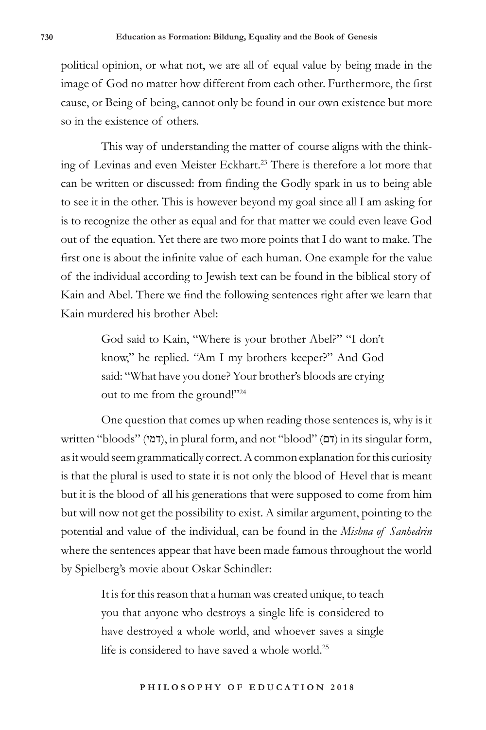political opinion, or what not, we are all of equal value by being made in the image of God no matter how different from each other. Furthermore, the first cause, or Being of being, cannot only be found in our own existence but more so in the existence of others.

This way of understanding the matter of course aligns with the thinking of Levinas and even Meister Eckhart.<sup>23</sup> There is therefore a lot more that can be written or discussed: from finding the Godly spark in us to being able to see it in the other. This is however beyond my goal since all I am asking for is to recognize the other as equal and for that matter we could even leave God out of the equation. Yet there are two more points that I do want to make. The first one is about the infinite value of each human. One example for the value of the individual according to Jewish text can be found in the biblical story of Kain and Abel. There we find the following sentences right after we learn that Kain murdered his brother Abel:

> God said to Kain, "Where is your brother Abel?" "I don't know," he replied. "Am I my brothers keeper?" And God said: "What have you done? Your brother's bloods are crying out to me from the ground!"24

One question that comes up when reading those sentences is, why is it written "bloods" (דמי), in plural form, and not "blood" (דם) in its singular form, as it would seem grammatically correct. A common explanation for this curiosity is that the plural is used to state it is not only the blood of Hevel that is meant but it is the blood of all his generations that were supposed to come from him but will now not get the possibility to exist. A similar argument, pointing to the potential and value of the individual, can be found in the *Mishna of Sanhedrin* where the sentences appear that have been made famous throughout the world by Spielberg's movie about Oskar Schindler:

> It is for this reason that a human was created unique, to teach you that anyone who destroys a single life is considered to have destroyed a whole world, and whoever saves a single life is considered to have saved a whole world.<sup>25</sup>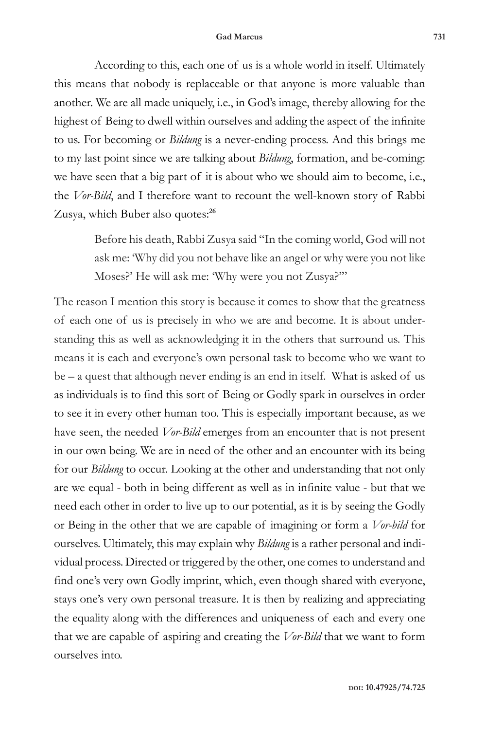## **Gad Marcus 731**

According to this, each one of us is a whole world in itself. Ultimately this means that nobody is replaceable or that anyone is more valuable than another. We are all made uniquely, i.e., in God's image, thereby allowing for the highest of Being to dwell within ourselves and adding the aspect of the infinite to us. For becoming or *Bildung* is a never-ending process. And this brings me to my last point since we are talking about *Bildung*, formation, and be-coming: we have seen that a big part of it is about who we should aim to become, i.e., the *Vor-Bild*, and I therefore want to recount the well-known story of Rabbi Zusya, which Buber also quotes:**<sup>26</sup>**

> Before his death, Rabbi Zusya said "In the coming world, God will not ask me: 'Why did you not behave like an angel or why were you not like Moses?' He will ask me: 'Why were you not Zusya?'"

The reason I mention this story is because it comes to show that the greatness of each one of us is precisely in who we are and become. It is about understanding this as well as acknowledging it in the others that surround us. This means it is each and everyone's own personal task to become who we want to be – a quest that although never ending is an end in itself. What is asked of us as individuals is to find this sort of Being or Godly spark in ourselves in order to see it in every other human too. This is especially important because, as we have seen, the needed *Vor-Bild* emerges from an encounter that is not present in our own being. We are in need of the other and an encounter with its being for our *Bildung* to occur. Looking at the other and understanding that not only are we equal - both in being different as well as in infinite value - but that we need each other in order to live up to our potential, as it is by seeing the Godly or Being in the other that we are capable of imagining or form a *Vor-bild* for ourselves. Ultimately, this may explain why *Bildung* is a rather personal and individual process. Directed or triggered by the other, one comes to understand and find one's very own Godly imprint, which, even though shared with everyone, stays one's very own personal treasure. It is then by realizing and appreciating the equality along with the differences and uniqueness of each and every one that we are capable of aspiring and creating the *Vor-Bild* that we want to form ourselves into.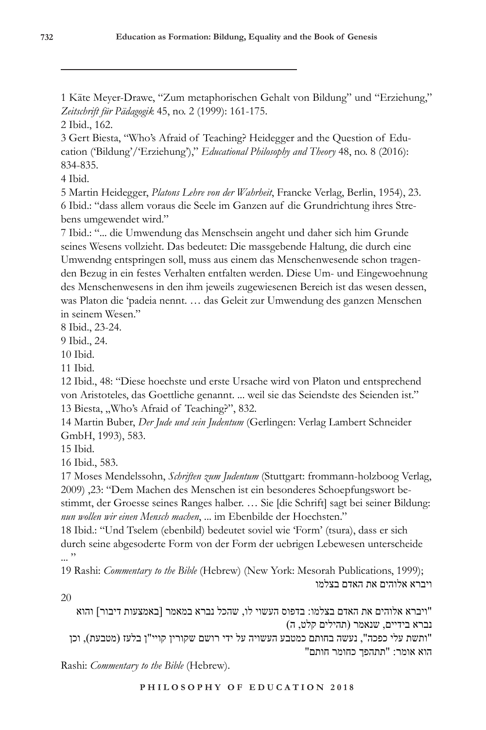1 Käte Meyer-Drawe, "Zum metaphorischen Gehalt von Bildung" und "Erziehung," *Zeitschrift für Pädagogik* 45, no. 2 (1999): 161-175.

2 Ibid., 162.

3 Gert Biesta, "Who's Afraid of Teaching? Heidegger and the Question of Education ('Bildung'/'Erziehung')," *Educational Philosophy and Theory* 48, no. 8 (2016): 834-835.

4 Ibid.

5 Martin Heidegger, *Platons Lehre von der Wahrheit*, Francke Verlag, Berlin, 1954), 23. 6 Ibid.: "dass allem voraus die Seele im Ganzen auf die Grundrichtung ihres Strebens umgewendet wird."

7 Ibid.: "... die Umwendung das Menschsein angeht und daher sich him Grunde seines Wesens vollzieht. Das bedeutet: Die massgebende Haltung, die durch eine Umwendng entspringen soll, muss aus einem das Menschenwesende schon tragenden Bezug in ein festes Verhalten entfalten werden. Diese Um- und Eingewoehnung des Menschenwesens in den ihm jeweils zugewiesenen Bereich ist das wesen dessen, was Platon die 'padeia nennt. … das Geleit zur Umwendung des ganzen Menschen in seinem Wesen."

8 Ibid., 23-24.

9 Ibid., 24.

10 Ibid.

11 Ibid.

12 Ibid., 48: "Diese hoechste und erste Ursache wird von Platon und entsprechend von Aristoteles, das Goettliche genannt. ... weil sie das Seiendste des Seienden ist." 13 Biesta, "Who's Afraid of Teaching?", 832.

14 Martin Buber, *Der Jude und sein Judentum* (Gerlingen: Verlag Lambert Schneider GmbH, 1993), 583.

15 Ibid.

16 Ibid., 583.

17 Moses Mendelssohn, *Schriften zum Judentum* (Stuttgart: frommann-holzboog Verlag, 2009) ,23: "Dem Machen des Menschen ist ein besonderes Schoepfungswort bestimmt, der Groesse seines Ranges halber. … Sie [die Schrift] sagt bei seiner Bildung: *nun wollen wir einen Mensch machen*, ... im Ebenbilde der Hoechsten."

18 Ibid.: "Und Tselem (ebenbild) bedeutet soviel wie 'Form' (tsura), dass er sich durch seine abgesoderte Form von der Form der uebrigen Lebewesen unterscheide ... "

19 Rashi: *Commentary to the Bible* (Hebrew) (New York: Mesorah Publications, 1999); ויברא אלוהים את האדם בצלמו

20

"ויברא אלוהים את האדם בצלמו: בדפוס העשוי לו, שהכל נברא במאמר [באמצעות דיבור] והוא נברא בידיים, שנאמר (תהילים קלט, ה) "ותשת עלי כפכה", נעשה בחותם כמטבע העשויה על ידי רושם שקורין קויי"ן בלעז (מטבעת), וכן הוא אומר: "תתהפך כחומר חותם"

Rashi: *Commentary to the Bible* (Hebrew).